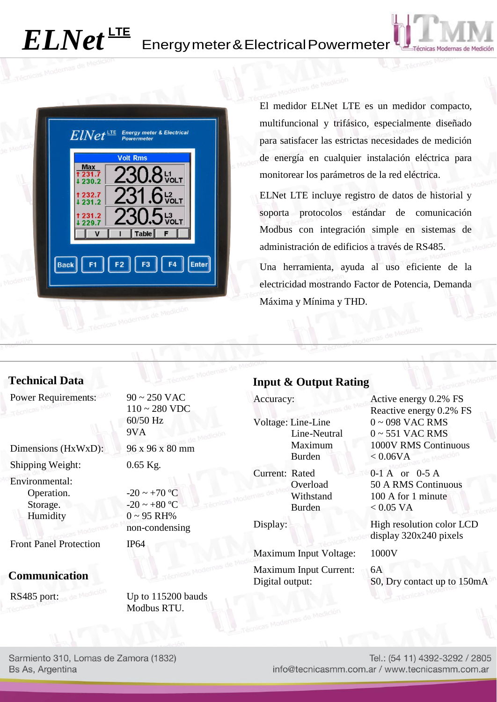# *ELNet* **LTE**

# Energymeter&ElectricalPowermeter



El medidor ELNet LTE es un medidor compacto, multifuncional y trifásico, especialmente diseñado para satisfacer las estrictas necesidades de medición de energía en cualquier instalación eléctrica para monitorear los parámetros de la red eléctrica.

ELNet LTE incluye registro de datos de historial y soporta protocolos estándar de comunicación Modbus con integración simple en sistemas de administración de edificios a través de RS485.

Una herramienta, ayuda al uso eficiente de la electricidad mostrando Factor de Potencia, Demanda Máxima y Mínima y THD.

## **Technical Data**

Power Requirements:  $90 \approx 250$  VAC

Dimensions (HxWxD): 96 x 96 x 80 mm Shipping Weight: 0.65 Kg.

Environmental: Operation. Storage. Humidity

Front Panel Protection IP64

#### **Communication**

RS485 port:  $\frac{d}{dx}$  Medicines Up to 115200 bauds

110 ~ 280 VDC 60/50 Hz 9VA

 $-20 \sim +70$  °C  $-20 \sim +80 \,^{\circ}\mathrm{C}$  $0 \sim 95$  RH% non-condensing

Modbus RTU.

#### **Input & Output Rating**

Voltage: Line-Line Line-Neutral Maximum Burden

Current: Rated Overload Withstand Burden

Maximum Input Voltage: 1000V Maximum Input Current: 6A

Accuracy: Active energy 0.2% FS Reactive energy 0.2% FS 0 ~ 098 VAC RMS  $0 \sim 551$  VAC RMS 1000V RMS Continuous  $< 0.06VA$ 

> 0-1 A or 0-5 A 50 A RMS Continuous 100 A for 1 minute  $< 0.05$  VA

Display: High resolution color LCD display 320x240 pixels

Digital output: S0, Dry contact up to 150mA

Sarmiento 310, Lomas de Zamora (1832) Bs As, Argentina

Tel.: (54 11) 4392-3292 / 2805 info@tecnicasmm.com.ar / www.tecnicasmm.com.ar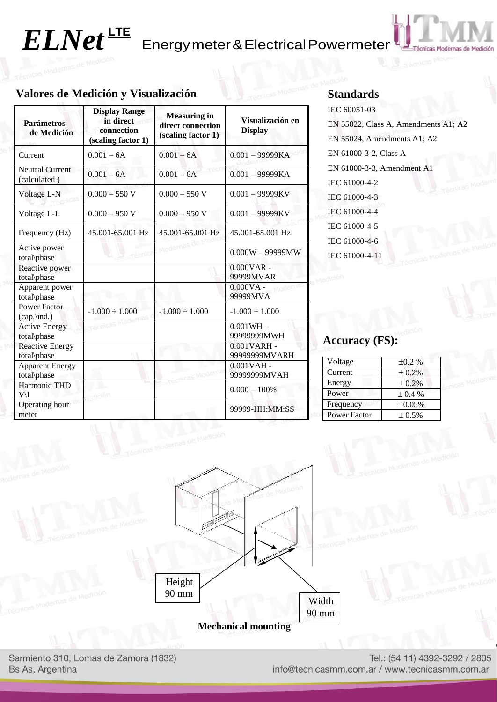## **Valores de Medición y Visualización**

| <b>Parámetros</b><br>de Medición         | <b>Display Range</b><br>in direct<br>connection<br>(scaling factor 1) | <b>Measuring in</b><br>direct connection<br>(scaling factor 1) | Visualización en<br><b>Display</b> |
|------------------------------------------|-----------------------------------------------------------------------|----------------------------------------------------------------|------------------------------------|
| Current                                  | $0.001 - 6A$                                                          | $0.001 - 6A$                                                   | $0.001 - 99999KA$                  |
| <b>Neutral Current</b><br>(calculated)   | $0.001 - 6A$                                                          | $0.001 - 6A$                                                   | $0.001 - 99999KA$                  |
| Voltage L-N                              | $0.000 - 550$ V                                                       | $0.000 - 550$ V                                                | $0.001 - 99999$ KV                 |
| Voltage L-L                              | $0.000 - 950$ V                                                       | $0.000 - 950$ V                                                | $0.001 - 99999KV$                  |
| Frequency (Hz)                           | 45,001-65,001 Hz                                                      | 45.001-65.001 Hz                                               | 45.001-65.001 Hz                   |
| Active power<br>total\phase              |                                                                       | Moderna                                                        | $0.000W - 99999MW$                 |
| Reactive power<br>total\phase            |                                                                       |                                                                | $0.000VAR -$<br>99999MVAR          |
| Apparent power<br>total\phase            |                                                                       |                                                                | $0.000VA -$<br>99999MVA            |
| <b>Power Factor</b><br>$(cap.\mid ind.)$ | $-1.000 \div 1.000$                                                   | $-1.000 \div 1.000$                                            | $-1.000 \div 1.000$                |
| <b>Active Energy</b><br>total\phase      | Técnicas                                                              |                                                                | $0.001WH -$<br>99999999MWH         |
| <b>Reactive Energy</b><br>total\phase    |                                                                       |                                                                | $0.001VARH -$<br>99999999MVARH     |
| <b>Apparent Energy</b><br>total\phase    |                                                                       |                                                                | $0.001$ VAH -<br>99999999MVAH      |
| Harmonic THD<br>V\I                      | dición                                                                |                                                                | $0.000 - 100\%$                    |
| Operating hour<br>meter                  |                                                                       |                                                                | 99999-HH:MM:SS                     |

#### **Standards**

IEC 60051-03 EN 55022, Class A, Amendments A1; A2 EN 55024, Amendments A1; A2 EN 61000-3-2, Class A EN 61000-3-3, Amendment A1 IEC 61000-4-2 IEC 61000-4-3 IEC 61000-4-4 IEC 61000-4-5 IEC 61000-4-6 IEC 61000-4-11

#### **Accuracy (FS):**

| Voltage             | $\pm 0.2 \%$ |  |
|---------------------|--------------|--|
| Current             | ± 0.2%       |  |
| Energy              | ± 0.2%       |  |
| Power               | $\pm 0.4 \%$ |  |
| Frequency           | ± 0.05%      |  |
| <b>Power Factor</b> | $\pm 0.5\%$  |  |



Sarmiento 310, Lomas de Zamora (1832) Bs As, Argentina

Tel.: (54 11) 4392-3292 / 2805 info@tecnicasmm.com.ar / www.tecnicasmm.com.ar